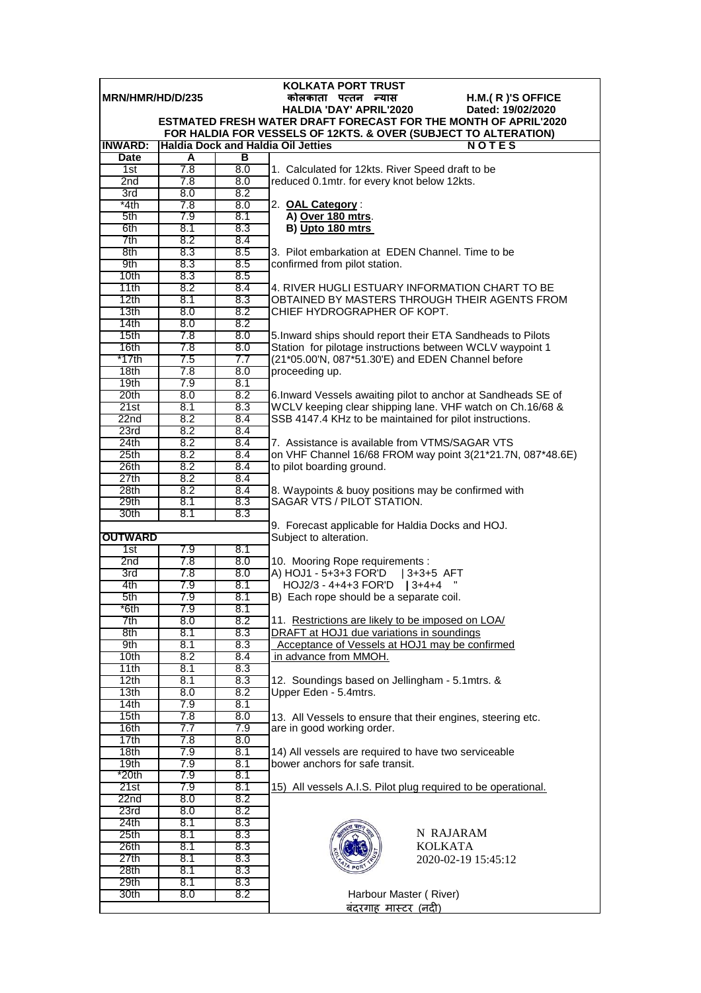|                               |            |            | <b>KOLKATA PORT TRUST</b>                                                                       |
|-------------------------------|------------|------------|-------------------------------------------------------------------------------------------------|
| MRN/HMR/HD/D/235              |            |            | कोलकाता पत्तन न्यास<br>H.M.(R)'S OFFICE                                                         |
|                               |            |            | <b>HALDIA 'DAY' APRIL'2020</b><br>Dated: 19/02/2020                                             |
|                               |            |            | <b>ESTMATED FRESH WATER DRAFT FORECAST FOR THE MONTH OF APRIL'2020</b>                          |
|                               |            |            | FOR HALDIA FOR VESSELS OF 12KTS. & OVER (SUBJECT TO ALTERATION)                                 |
| <b>INWARD:</b><br><b>Date</b> | A          | в          | <b>Haldia Dock and Haldia Oil Jetties</b><br><b>NOTES</b>                                       |
| 1st                           | 7.8        | 8.0        |                                                                                                 |
| 2nd                           | 7.8        | 8.0        | 1. Calculated for 12kts. River Speed draft to be<br>reduced 0.1mtr. for every knot below 12kts. |
| 3rd                           | 8.0        | 8.2        |                                                                                                 |
| *4th                          | 7.8        | 8.0        | 2. OAL Category:                                                                                |
| 5th                           | 7.9        | 8.1        | A) Over 180 mtrs.                                                                               |
| 6th                           | 8.1        | 8.3        | B) Upto 180 mtrs                                                                                |
| 7th                           | 8.2        | 8.4        |                                                                                                 |
| 8th                           | 8.3        | 8.5        | 3. Pilot embarkation at EDEN Channel. Time to be                                                |
| 9th                           | 8.3        | 8.5        | confirmed from pilot station.                                                                   |
| 10th                          | 8.3        | 8.5        |                                                                                                 |
| 11th                          | 8.2        | 8.4        | 4. RIVER HUGLI ESTUARY INFORMATION CHART TO BE                                                  |
| 12th                          | 8.1        | 8.3        | OBTAINED BY MASTERS THROUGH THEIR AGENTS FROM                                                   |
| 13 <sub>th</sub>              | 8.0        | 8.2        | CHIEF HYDROGRAPHER OF KOPT.                                                                     |
| 14th                          | 8.0        | 8.2        |                                                                                                 |
| 15th                          | 7.8        | 8.0        | 5. Inward ships should report their ETA Sandheads to Pilots                                     |
| 16th                          | 7.8        | 8.0        | Station for pilotage instructions between WCLV waypoint 1                                       |
| *17th                         | 7.5        | 7.7        | (21*05.00'N, 087*51.30'E) and EDEN Channel before                                               |
| 18 <sub>th</sub>              | 7.8        | 8.0        | proceeding up.                                                                                  |
| 19th                          | 7.9        | 8.1        |                                                                                                 |
| 20th                          | 8.0        | 8.2        | 6. Inward Vessels awaiting pilot to anchor at Sandheads SE of                                   |
| 21st                          | 8.1        | 8.3        | WCLV keeping clear shipping lane. VHF watch on Ch.16/68 &                                       |
| 22 <sub>nd</sub>              | 8.2        | 8.4        | SSB 4147.4 KHz to be maintained for pilot instructions.                                         |
| 23rd                          | 8.2        | 8.4        |                                                                                                 |
| 24th                          | 8.2        | 8.4        | 7. Assistance is available from VTMS/SAGAR VTS                                                  |
| 25 <sub>th</sub>              | 8.2        | 8.4        | on VHF Channel 16/68 FROM way point 3(21*21.7N, 087*48.6E)                                      |
| 26th                          | 8.2        | 8.4        | to pilot boarding ground.                                                                       |
| 27th                          | 8.2        | 8.4        |                                                                                                 |
| 28th<br>29th                  | 8.2<br>8.1 | 8.4<br>8.3 | 8. Waypoints & buoy positions may be confirmed with<br>SAGAR VTS / PILOT STATION.               |
| 30th                          | 8.1        | 8.3        |                                                                                                 |
|                               |            |            | 9. Forecast applicable for Haldia Docks and HOJ.                                                |
| <b>OUTWARD</b>                |            |            | Subject to alteration.                                                                          |
| 1st                           | 7.9        | 8.1        |                                                                                                 |
| 2nd                           | 7.8        | 8.0        | 10. Mooring Rope requirements :                                                                 |
| 3rd                           | 7.8        | 8.0        | A) HOJ1 - 5+3+3 FOR'D   3+3+5 AFT                                                               |
| 4th                           | 7.9        | 8.1        | $HOJ2/3 - 4+4+3$ FOR'D   3+4+4                                                                  |
| 5th                           | 7.9        | 8.1        | B) Each rope should be a separate coil.                                                         |
| *6th                          | 7.9        | 8.1        |                                                                                                 |
| 7th                           | 8.0        | 8.2        | 11. Restrictions are likely to be imposed on LOA/                                               |
| 8th                           | 8.1        | 8.3        | DRAFT at HOJ1 due variations in soundings                                                       |
| 9th                           | 8.1        | 8.3        | Acceptance of Vessels at HOJ1 may be confirmed                                                  |
| 10th                          | 8.2        | 8.4        | in advance from MMOH.                                                                           |
| 11th                          | 8.1        | 8.3        |                                                                                                 |
| 12th                          | 8.1        | 8.3        | 12. Soundings based on Jellingham - 5.1 mtrs. &                                                 |
| 13th                          | 8.0        | 8.2        | Upper Eden - 5.4mtrs.                                                                           |
| 14th                          | 7.9        | 8.1        |                                                                                                 |
| 15th                          | 7.8        | 8.0        | 13. All Vessels to ensure that their engines, steering etc.                                     |
| 16th                          | 7.7        | 7.9        | are in good working order.                                                                      |
| 17th                          | 7.8        | 8.0        |                                                                                                 |
| 18th                          | 7.9        | 8.1        | 14) All vessels are required to have two serviceable                                            |
| 19th                          | 7.9        | 8.1        | bower anchors for safe transit.                                                                 |
| *20th                         | 7.9        | 8.1        |                                                                                                 |
| 21st                          | 7.9        | 8.1<br>8.2 | 15) All vessels A.I.S. Pilot plug required to be operational.                                   |
| 22n <sub>d</sub>              | 8.0        |            |                                                                                                 |
| 23rd<br>24th                  | 8.0<br>8.1 | 8.2<br>8.3 |                                                                                                 |
| 25 <sub>th</sub>              | 8.1        | 8.3        | N RAJARAM                                                                                       |
| 26th                          | 8.1        | 8.3        | <b>KOLKATA</b>                                                                                  |
| 27th                          | 8.1        | 8.3        | 2020-02-19 15:45:12                                                                             |
| 28th                          | 8.1        | 8.3        |                                                                                                 |
| 29th                          | 8.1        | 8.3        |                                                                                                 |
| 30th                          | 8.0        | 8.2        | Harbour Master (River)                                                                          |
|                               |            |            | <u>बंदरगाह मास्टर (नदी)</u>                                                                     |
|                               |            |            |                                                                                                 |